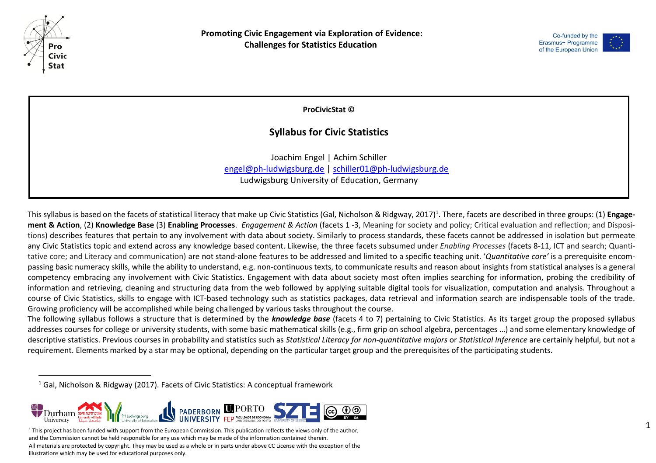

l



**ProCivicStat ©**

## **Syllabus for Civic Statistics**

Joachim Engel | Achim Schiller [engel@ph-ludwigsburg.de](mailto:engel@ph-ludwigsburg.de) | [schiller01@ph-ludwigsburg.de](mailto:schiller01@ph-ludwigsburg.de) Ludwigsburg University of Education, Germany

This syllabus is based on the facets of statistical literacy that make up Civic Statistics (Gal, Nicholson & Ridgway, 2017)<sup>1</sup>. There, facets are described in three groups: (1) **Engagement & Action**, (2) **Knowledge Base** (3) **Enabling Processes**. *Engagement & Action* (facets 1 -3, Meaning for society and policy; Critical evaluation and reflection; and Dispositions) describes features that pertain to any involvement with data about society. Similarly to process standards, these facets cannot be addressed in isolation but permeate any Civic Statistics topic and extend across any knowledge based content. Likewise, the three facets subsumed under *Enabling Processes* (facets 8-11, ICT and search; Quantitative core; and Literacy and communication) are not stand-alone features to be addressed and limited to a specific teaching unit. '*Quantitative core'* is a prerequisite encompassing basic numeracy skills, while the ability to understand, e.g. non-continuous texts, to communicate results and reason about insights from statistical analyses is a general competency embracing any involvement with Civic Statistics. Engagement with data about society most often implies searching for information, probing the credibility of information and retrieving, cleaning and structuring data from the web followed by applying suitable digital tools for visualization, computation and analysis. Throughout a course of Civic Statistics, skills to engage with ICT-based technology such as statistics packages, data retrieval and information search are indispensable tools of the trade. Growing proficiency will be accomplished while being challenged by various tasks throughout the course.

The following syllabus follows a structure that is determined by the *knowledge base* (facets 4 to 7) pertaining to Civic Statistics. As its target group the proposed syllabus addresses courses for college or university students, with some basic mathematical skills (e.g., firm grip on school algebra, percentages …) and some elementary knowledge of descriptive statistics. Previous courses in probability and statistics such as *Statistical Literacy for non-quantitative majors* or *Statistical Inference* are certainly helpful, but not a requirement. Elements marked by a star may be optional, depending on the particular target group and the prerequisites of the participating students.

<sup>1</sup> Gal, Nicholson & Ridgway (2017). Facets of Civic Statistics: A conceptual framework



This project has been funded with support from the European Commission. This publication reflects the views only of the author, and the Commission cannot be held responsible for any use which may be made of the information contained therein. All materials are protected by copyright. They may be used as a whole or in parts under above CC License with the exception of the illustrations which may be used for educational purposes only.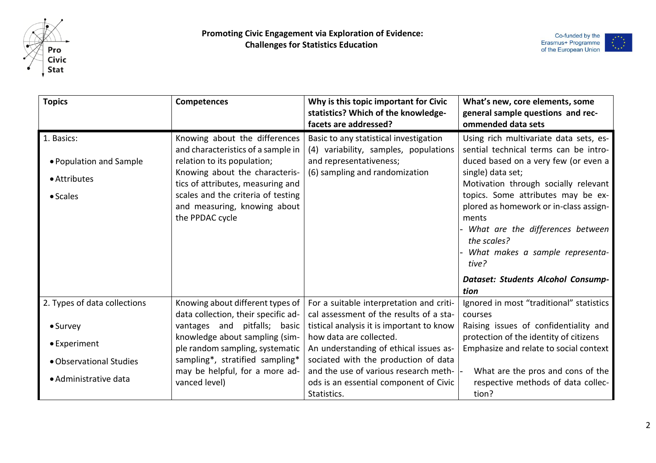



| <b>Topics</b>                                                     | Competences                                                                                                                                                                                                                                                        | Why is this topic important for Civic<br>statistics? Which of the knowledge-<br>facets are addressed?                                        | What's new, core elements, some<br>general sample questions and rec-<br>ommended data sets                                                                                                                                                                                                                                                                                   |
|-------------------------------------------------------------------|--------------------------------------------------------------------------------------------------------------------------------------------------------------------------------------------------------------------------------------------------------------------|----------------------------------------------------------------------------------------------------------------------------------------------|------------------------------------------------------------------------------------------------------------------------------------------------------------------------------------------------------------------------------------------------------------------------------------------------------------------------------------------------------------------------------|
| 1. Basics:<br>• Population and Sample<br>• Attributes<br>• Scales | Knowing about the differences<br>and characteristics of a sample in<br>relation to its population;<br>Knowing about the characteris-<br>tics of attributes, measuring and<br>scales and the criteria of testing<br>and measuring, knowing about<br>the PPDAC cycle | Basic to any statistical investigation<br>(4) variability, samples, populations<br>and representativeness;<br>(6) sampling and randomization | Using rich multivariate data sets, es-<br>sential technical terms can be intro-<br>duced based on a very few (or even a<br>single) data set;<br>Motivation through socially relevant<br>topics. Some attributes may be ex-<br>plored as homework or in-class assign-<br>ments<br>What are the differences between<br>the scales?<br>What makes a sample representa-<br>tive? |
|                                                                   |                                                                                                                                                                                                                                                                    |                                                                                                                                              | Dataset: Students Alcohol Consump-<br>tion                                                                                                                                                                                                                                                                                                                                   |
| 2. Types of data collections                                      | Knowing about different types of                                                                                                                                                                                                                                   | For a suitable interpretation and criti-                                                                                                     | Ignored in most "traditional" statistics                                                                                                                                                                                                                                                                                                                                     |
| • Survey                                                          | data collection, their specific ad-<br>vantages and pitfalls; basic                                                                                                                                                                                                | cal assessment of the results of a sta-<br>tistical analysis it is important to know                                                         | courses<br>Raising issues of confidentiality and                                                                                                                                                                                                                                                                                                                             |
| • Experiment                                                      | knowledge about sampling (sim-<br>ple random sampling, systematic                                                                                                                                                                                                  | how data are collected.<br>An understanding of ethical issues as-                                                                            | protection of the identity of citizens<br>Emphasize and relate to social context                                                                                                                                                                                                                                                                                             |
| • Observational Studies                                           | sampling*, stratified sampling*                                                                                                                                                                                                                                    | sociated with the production of data                                                                                                         |                                                                                                                                                                                                                                                                                                                                                                              |
| • Administrative data                                             | may be helpful, for a more ad-<br>vanced level)                                                                                                                                                                                                                    | and the use of various research meth-<br>ods is an essential component of Civic<br>Statistics.                                               | What are the pros and cons of the<br>respective methods of data collec-<br>tion?                                                                                                                                                                                                                                                                                             |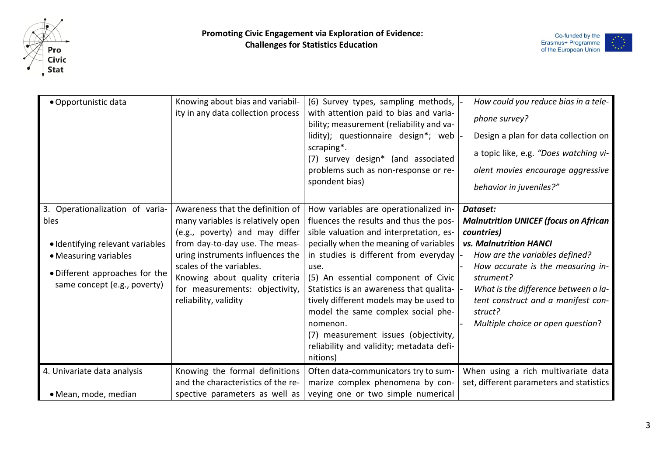



| • Opportunistic data                                                                                                                                                   | Knowing about bias and variabil-<br>ity in any data collection process                                                                                                                                                                                                                                 | (6) Survey types, sampling methods,<br>with attention paid to bias and varia-<br>bility; measurement (reliability and va-<br>lidity); questionnaire design*; web<br>scraping*.<br>(7) survey design* (and associated<br>problems such as non-response or re-<br>spondent bias)                                                                                                                                                                                                                       | How could you reduce bias in a tele-<br>phone survey?<br>Design a plan for data collection on<br>a topic like, e.g. "Does watching vi-<br>olent movies encourage aggressive<br>behavior in juveniles?"                                                                                                                    |
|------------------------------------------------------------------------------------------------------------------------------------------------------------------------|--------------------------------------------------------------------------------------------------------------------------------------------------------------------------------------------------------------------------------------------------------------------------------------------------------|------------------------------------------------------------------------------------------------------------------------------------------------------------------------------------------------------------------------------------------------------------------------------------------------------------------------------------------------------------------------------------------------------------------------------------------------------------------------------------------------------|---------------------------------------------------------------------------------------------------------------------------------------------------------------------------------------------------------------------------------------------------------------------------------------------------------------------------|
| 3. Operationalization of varia-<br>bles<br>• Identifying relevant variables<br>• Measuring variables<br>• Different approaches for the<br>same concept (e.g., poverty) | Awareness that the definition of<br>many variables is relatively open<br>(e.g., poverty) and may differ<br>from day-to-day use. The meas-<br>uring instruments influences the<br>scales of the variables.<br>Knowing about quality criteria<br>for measurements: objectivity,<br>reliability, validity | How variables are operationalized in-<br>fluences the results and thus the pos-<br>sible valuation and interpretation, es-<br>pecially when the meaning of variables<br>in studies is different from everyday<br>use.<br>(5) An essential component of Civic<br>Statistics is an awareness that qualita-<br>tively different models may be used to<br>model the same complex social phe-<br>nomenon.<br>(7) measurement issues (objectivity,<br>reliability and validity; metadata defi-<br>nitions) | Dataset:<br><b>Malnutrition UNICEF (focus on African</b><br>countries)<br><b>vs. Malnutrition HANCI</b><br>How are the variables defined?<br>How accurate is the measuring in-<br>strument?<br>What is the difference between a la-<br>tent construct and a manifest con-<br>struct?<br>Multiple choice or open question? |
| 4. Univariate data analysis<br>• Mean, mode, median                                                                                                                    | Knowing the formal definitions<br>and the characteristics of the re-<br>spective parameters as well as                                                                                                                                                                                                 | Often data-communicators try to sum-<br>marize complex phenomena by con-<br>veying one or two simple numerical                                                                                                                                                                                                                                                                                                                                                                                       | When using a rich multivariate data<br>set, different parameters and statistics                                                                                                                                                                                                                                           |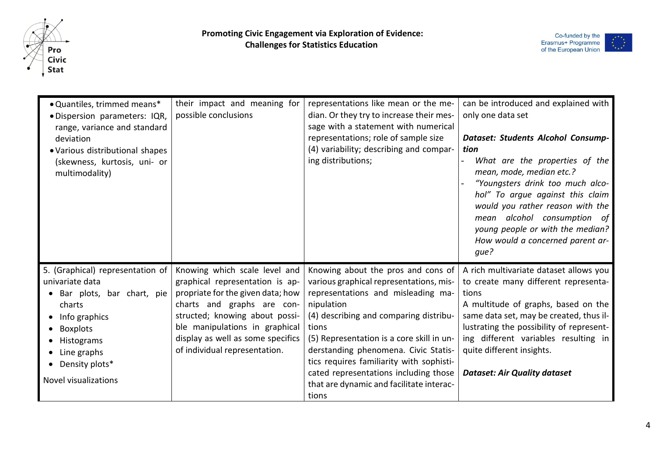



| • Quantiles, trimmed means*<br>· Dispersion parameters: IQR,<br>range, variance and standard<br>deviation<br>• Various distributional shapes<br>(skewness, kurtosis, uni- or<br>multimodality)                                  | their impact and meaning for<br>possible conclusions                                                                                                                                                                                                                          | representations like mean or the me-<br>dian. Or they try to increase their mes-<br>sage with a statement with numerical<br>representations; role of sample size<br>(4) variability; describing and compar-<br>ing distributions;                                                                                                                                                                                   | can be introduced and explained with<br>only one data set<br>Dataset: Students Alcohol Consump-<br>tion<br>What are the properties of the<br>mean, mode, median etc.?<br>"Youngsters drink too much alco-<br>hol" To argue against this claim<br>would you rather reason with the<br>mean alcohol consumption of<br>young people or with the median?<br>How would a concerned parent ar-<br>que? |
|---------------------------------------------------------------------------------------------------------------------------------------------------------------------------------------------------------------------------------|-------------------------------------------------------------------------------------------------------------------------------------------------------------------------------------------------------------------------------------------------------------------------------|---------------------------------------------------------------------------------------------------------------------------------------------------------------------------------------------------------------------------------------------------------------------------------------------------------------------------------------------------------------------------------------------------------------------|--------------------------------------------------------------------------------------------------------------------------------------------------------------------------------------------------------------------------------------------------------------------------------------------------------------------------------------------------------------------------------------------------|
| 5. (Graphical) representation of<br>univariate data<br>Bar plots, bar chart, pie<br>$\bullet$<br>charts<br>$\bullet$ Info graphics<br>Boxplots<br>Histograms<br>$\bullet$ Line graphs<br>Density plots*<br>Novel visualizations | Knowing which scale level and<br>graphical representation is ap-<br>propriate for the given data; how<br>charts and graphs are con-<br>structed; knowing about possi-<br>ble manipulations in graphical<br>display as well as some specifics<br>of individual representation. | Knowing about the pros and cons of<br>various graphical representations, mis-<br>representations and misleading ma-<br>nipulation<br>(4) describing and comparing distribu-<br>tions<br>(5) Representation is a core skill in un-<br>derstanding phenomena. Civic Statis-<br>tics requires familiarity with sophisti-<br>cated representations including those<br>that are dynamic and facilitate interac-<br>tions | A rich multivariate dataset allows you<br>to create many different representa-<br>tions<br>A multitude of graphs, based on the<br>same data set, may be created, thus il-<br>lustrating the possibility of represent-<br>ing different variables resulting in<br>quite different insights.<br><b>Dataset: Air Quality dataset</b>                                                                |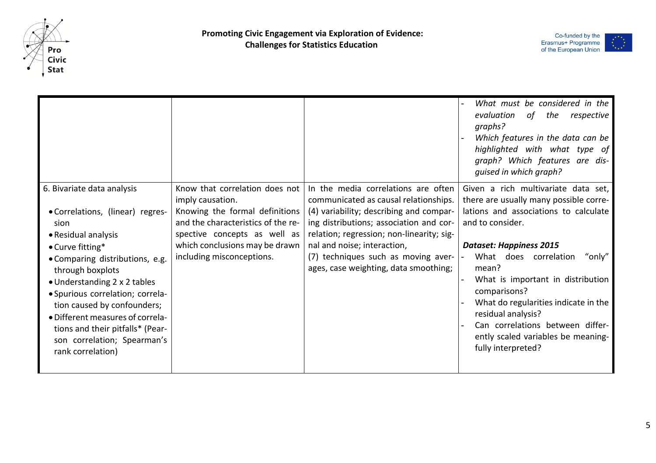



|                                                                                                                                                                                                                                                                                                                                                                                                         |                                                                                                                                                                                                                           |                                                                                                                                                                                                                                                                                                                                | What must be considered in the<br>evaluation<br>of the<br>respective<br>graphs?<br>Which features in the data can be<br>highlighted with what type of<br>graph? Which features are dis-<br>guised in which graph?                                                                                                                                                                                                                                                       |
|---------------------------------------------------------------------------------------------------------------------------------------------------------------------------------------------------------------------------------------------------------------------------------------------------------------------------------------------------------------------------------------------------------|---------------------------------------------------------------------------------------------------------------------------------------------------------------------------------------------------------------------------|--------------------------------------------------------------------------------------------------------------------------------------------------------------------------------------------------------------------------------------------------------------------------------------------------------------------------------|-------------------------------------------------------------------------------------------------------------------------------------------------------------------------------------------------------------------------------------------------------------------------------------------------------------------------------------------------------------------------------------------------------------------------------------------------------------------------|
| 6. Bivariate data analysis<br>• Correlations, (linear) regres-<br>sion<br>• Residual analysis<br>• Curve fitting*<br>• Comparing distributions, e.g.<br>through boxplots<br>• Understanding 2 x 2 tables<br>· Spurious correlation; correla-<br>tion caused by confounders;<br>• Different measures of correla-<br>tions and their pitfalls* (Pear-<br>son correlation; Spearman's<br>rank correlation) | Know that correlation does not<br>imply causation.<br>Knowing the formal definitions<br>and the characteristics of the re-<br>spective concepts as well as<br>which conclusions may be drawn<br>including misconceptions. | In the media correlations are often<br>communicated as causal relationships.<br>(4) variability; describing and compar-<br>ing distributions; association and cor-<br>relation; regression; non-linearity; sig-<br>nal and noise; interaction,<br>(7) techniques such as moving aver-<br>ages, case weighting, data smoothing; | Given a rich multivariate data set,<br>there are usually many possible corre-<br>lations and associations to calculate<br>and to consider.<br><b>Dataset: Happiness 2015</b><br>What does correlation<br>"only"<br>$\overline{\phantom{0}}$<br>mean?<br>What is important in distribution<br>comparisons?<br>What do regularities indicate in the<br>residual analysis?<br>Can correlations between differ-<br>ently scaled variables be meaning-<br>fully interpreted? |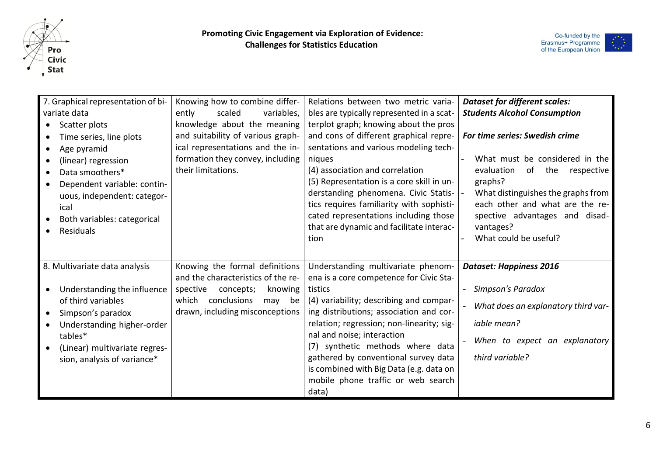



| 7. Graphical representation of bi-<br>variate data<br>Scatter plots<br>Time series, line plots<br>Age pyramid<br>(linear) regression<br>Data smoothers*<br>Dependent variable: contin-<br>uous, independent: categor-<br>ical<br>Both variables: categorical<br><b>Residuals</b> | Knowing how to combine differ-<br>ently<br>scaled<br>variables,<br>knowledge about the meaning<br>and suitability of various graph-<br>ical representations and the in-<br>formation they convey, including<br>their limitations. | Relations between two metric varia-<br>bles are typically represented in a scat-<br>terplot graph; knowing about the pros<br>and cons of different graphical repre-<br>sentations and various modeling tech-<br>niques<br>(4) association and correlation<br>(5) Representation is a core skill in un-<br>derstanding phenomena. Civic Statis-<br>tics requires familiarity with sophisti-<br>cated representations including those<br>that are dynamic and facilitate interac-<br>tion | <b>Dataset for different scales:</b><br><b>Students Alcohol Consumption</b><br>For time series: Swedish crime<br>What must be considered in the<br>of the respective<br>evaluation<br>graphs?<br>What distinguishes the graphs from<br>each other and what are the re-<br>spective advantages and disad-<br>vantages?<br>What could be useful? |
|----------------------------------------------------------------------------------------------------------------------------------------------------------------------------------------------------------------------------------------------------------------------------------|-----------------------------------------------------------------------------------------------------------------------------------------------------------------------------------------------------------------------------------|-----------------------------------------------------------------------------------------------------------------------------------------------------------------------------------------------------------------------------------------------------------------------------------------------------------------------------------------------------------------------------------------------------------------------------------------------------------------------------------------|------------------------------------------------------------------------------------------------------------------------------------------------------------------------------------------------------------------------------------------------------------------------------------------------------------------------------------------------|
| 8. Multivariate data analysis<br>Understanding the influence<br>of third variables<br>Simpson's paradox<br>Understanding higher-order<br>tables*<br>(Linear) multivariate regres-<br>sion, analysis of variance*                                                                 | Knowing the formal definitions<br>and the characteristics of the re-<br>knowing<br>spective<br>concepts;<br>which conclusions<br>may be<br>drawn, including misconceptions                                                        | Understanding multivariate phenom-<br>ena is a core competence for Civic Sta-<br>tistics<br>(4) variability; describing and compar-<br>ing distributions; association and cor-<br>relation; regression; non-linearity; sig-<br>nal and noise; interaction<br>(7) synthetic methods where data<br>gathered by conventional survey data<br>is combined with Big Data (e.g. data on<br>mobile phone traffic or web search<br>data)                                                         | <b>Dataset: Happiness 2016</b><br>Simpson's Paradox<br>What does an explanatory third var-<br><i>iable</i> mean?<br>When to expect an explanatory<br>third variable?                                                                                                                                                                           |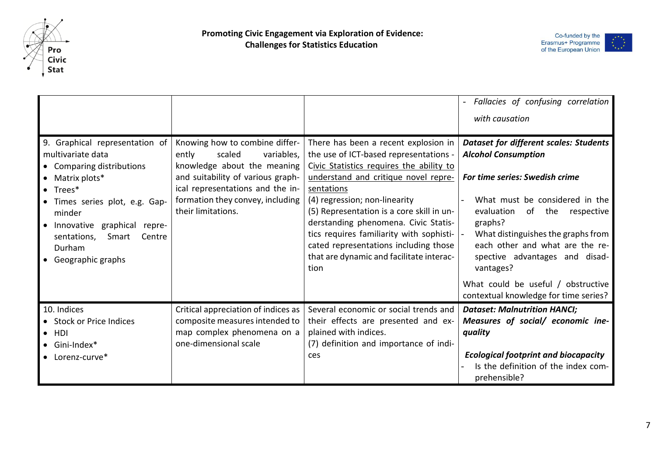



|                                                                                                                                                                                                                                                                            |                                                                                                                                                                                                                                   |                                                                                                                                                                                                                                                                                                                                                                                                                                                 | Fallacies of confusing correlation<br>with causation                                                                                                                                                                                                                                                                                                                                                    |
|----------------------------------------------------------------------------------------------------------------------------------------------------------------------------------------------------------------------------------------------------------------------------|-----------------------------------------------------------------------------------------------------------------------------------------------------------------------------------------------------------------------------------|-------------------------------------------------------------------------------------------------------------------------------------------------------------------------------------------------------------------------------------------------------------------------------------------------------------------------------------------------------------------------------------------------------------------------------------------------|---------------------------------------------------------------------------------------------------------------------------------------------------------------------------------------------------------------------------------------------------------------------------------------------------------------------------------------------------------------------------------------------------------|
| 9. Graphical representation of<br>multivariate data<br>• Comparing distributions<br>• Matrix plots*<br>$\bullet$ Trees*<br>• Times series plot, e.g. Gap-<br>minder<br>• Innovative graphical<br>repre-<br>Smart<br>sentations,<br>Centre<br>Durham<br>• Geographic graphs | Knowing how to combine differ-<br>ently<br>variables,<br>scaled<br>knowledge about the meaning<br>and suitability of various graph-<br>ical representations and the in-<br>formation they convey, including<br>their limitations. | There has been a recent explosion in<br>the use of ICT-based representations -<br>Civic Statistics requires the ability to<br>understand and critique novel repre-<br>sentations<br>(4) regression; non-linearity<br>(5) Representation is a core skill in un-<br>derstanding phenomena. Civic Statis-<br>tics requires familiarity with sophisti-<br>cated representations including those<br>that are dynamic and facilitate interac-<br>tion | <b>Dataset for different scales: Students</b><br><b>Alcohol Consumption</b><br>For time series: Swedish crime<br>What must be considered in the<br>evaluation<br>of the<br>respective<br>graphs?<br>What distinguishes the graphs from<br>each other and what are the re-<br>spective advantages and disad-<br>vantages?<br>What could be useful / obstructive<br>contextual knowledge for time series? |
| 10. Indices<br>• Stock or Price Indices<br>$\bullet$ HDI<br>$\bullet$ Gini-Index*<br>• Lorenz-curve*                                                                                                                                                                       | Critical appreciation of indices as<br>composite measures intended to<br>map complex phenomena on a<br>one-dimensional scale                                                                                                      | Several economic or social trends and<br>their effects are presented and ex-<br>plained with indices.<br>(7) definition and importance of indi-<br>ces                                                                                                                                                                                                                                                                                          | <b>Dataset: Malnutrition HANCI;</b><br>Measures of social/ economic ine-<br>quality<br><b>Ecological footprint and biocapacity</b><br>Is the definition of the index com-<br>prehensible?                                                                                                                                                                                                               |